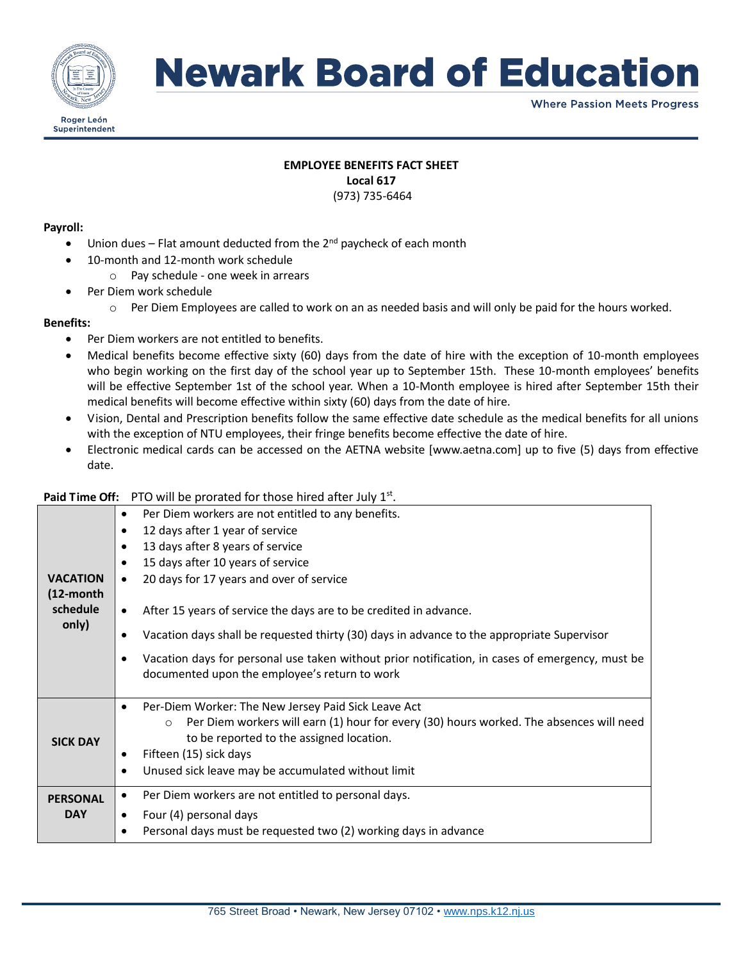

# **Newark Board of Education**

**Where Passion Meets Progress** 

# **EMPLOYEE BENEFITS FACT SHEET Local 617**

(973) 735-6464

### **Payroll:**

- Union dues Flat amount deducted from the  $2^{nd}$  paycheck of each month
- 10-month and 12-month work schedule
	- o Pay schedule one week in arrears
- Per Diem work schedule
	- $\circ$  Per Diem Employees are called to work on an as needed basis and will only be paid for the hours worked.

## **Benefits:**

- Per Diem workers are not entitled to benefits.
- Medical benefits become effective sixty (60) days from the date of hire with the exception of 10-month employees who begin working on the first day of the school year up to September 15th. These 10-month employees' benefits will be effective September 1st of the school year. When a 10-Month employee is hired after September 15th their medical benefits will become effective within sixty (60) days from the date of hire.
- Vision, Dental and Prescription benefits follow the same effective date schedule as the medical benefits for all unions with the exception of NTU employees, their fringe benefits become effective the date of hire.
- Electronic medical cards can be accessed on the AETNA website [www.aetna.com] up to five (5) days from effective date.

## Paid Time Off: PTO will be prorated for those hired after July 1<sup>st</sup>.

|                 | Per Diem workers are not entitled to any benefits.<br>$\bullet$                                                                                 |
|-----------------|-------------------------------------------------------------------------------------------------------------------------------------------------|
|                 | 12 days after 1 year of service<br>$\bullet$                                                                                                    |
|                 | 13 days after 8 years of service<br>$\bullet$                                                                                                   |
|                 | 15 days after 10 years of service<br>٠                                                                                                          |
| <b>VACATION</b> | 20 days for 17 years and over of service<br>$\bullet$                                                                                           |
| (12-month       |                                                                                                                                                 |
| schedule        | After 15 years of service the days are to be credited in advance.<br>$\bullet$                                                                  |
| only)           | Vacation days shall be requested thirty (30) days in advance to the appropriate Supervisor<br>٠                                                 |
|                 | Vacation days for personal use taken without prior notification, in cases of emergency, must be<br>$\bullet$                                    |
|                 | documented upon the employee's return to work                                                                                                   |
|                 |                                                                                                                                                 |
|                 | Per-Diem Worker: The New Jersey Paid Sick Leave Act<br>$\bullet$                                                                                |
|                 | Per Diem workers will earn (1) hour for every (30) hours worked. The absences will need<br>$\Omega$<br>to be reported to the assigned location. |
| <b>SICK DAY</b> | Fifteen (15) sick days<br>$\bullet$                                                                                                             |
|                 | Unused sick leave may be accumulated without limit<br>$\bullet$                                                                                 |
|                 |                                                                                                                                                 |
| <b>PERSONAL</b> | Per Diem workers are not entitled to personal days.<br>٠                                                                                        |
| <b>DAY</b>      | Four (4) personal days<br>$\bullet$                                                                                                             |
|                 | Personal days must be requested two (2) working days in advance<br>$\bullet$                                                                    |